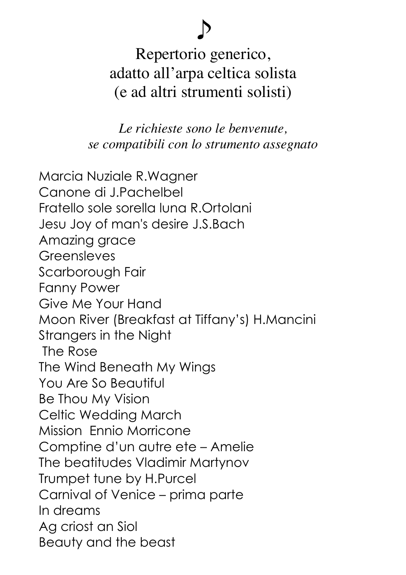## Repertorio generico, adatto all'arpa celtica solista (e ad altri strumenti solisti)

♪

*Le richieste sono le benvenute, se compatibili con lo strumento assegnato*

Marcia Nuziale R.Wagner Canone di J.Pachelbel Fratello sole sorella luna R.Ortolani Jesu Joy of man's desire J.S.Bach Amazing grace **Greensleves** Scarborough Fair Fanny Power Give Me Your Hand Moon River (Breakfast at Tiffany's) H.Mancini Strangers in the Night The Rose The Wind Beneath My Wings You Are So Beautiful Be Thou My Vision Celtic Wedding March Mission Ennio Morricone Comptine d'un autre ete – Amelie The beatitudes Vladimir Martynov Trumpet tune by H.Purcel Carnival of Venice – prima parte In dreams Ag criost an Siol Beauty and the beast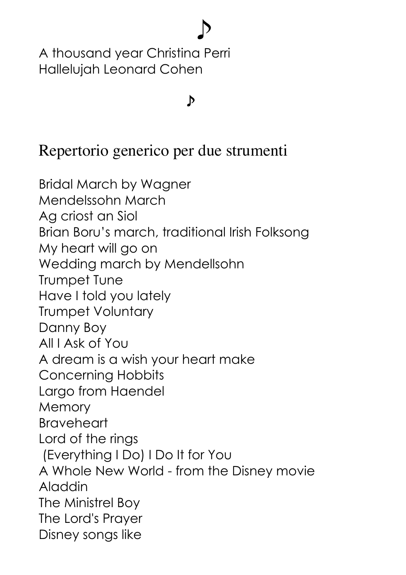A thousand year Christina Perri Hallelujah Leonard Cohen

## $\sim$

♪

## Repertorio generico per due strumenti

Bridal March by Wagner Mendelssohn March Ag criost an Siol Brian Boru's march, traditional Irish Folksong My heart will go on Wedding march by Mendellsohn Trumpet Tune Have I told you lately Trumpet Voluntary Danny Boy All I Ask of You A dream is a wish your heart make Concerning Hobbits Largo from Haendel **Memory Braveheart** Lord of the rings (Everything I Do) I Do It for You A Whole New World - from the Disney movie Aladdin The Ministrel Boy The Lord's Prayer Disney songs like